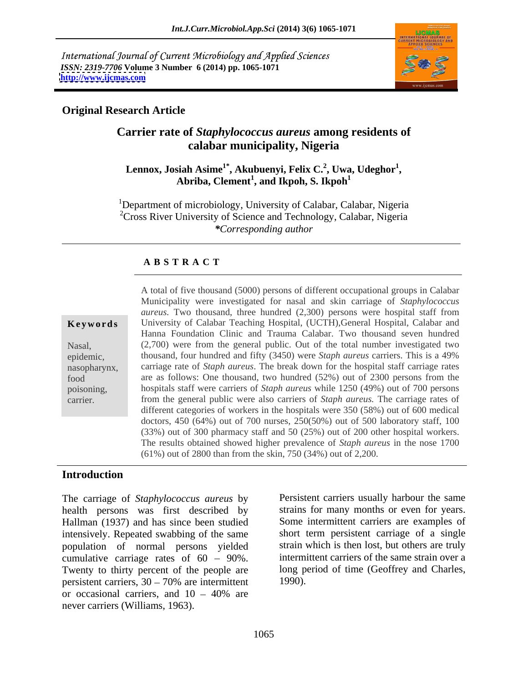International Journal of Current Microbiology and Applied Sciences *ISSN: 2319-7706* **Volume 3 Number 6 (2014) pp. 1065-1071 <http://www.ijcmas.com>**



# **Original Research Article**

# **Carrier rate of** *Staphylococcus aureus* **among residents of calabar municipality, Nigeria**

### $\mathbf{Lennox, Josiah Asime^{1*}, Akubuenyi, Felix C.^2, Uwa, Udeghor^{1}},$ **, Uwa, Udeghor<sup>1</sup>** siah Asime<sup>1</sup>\*, Akubuenyi, Felix C.<sup>2</sup>, Uwa, Udeghor<sup>1</sup>,<br>Abriba, Clement<sup>1</sup>, and Ikpoh, S. Ikpoh<sup>1</sup> **, and Ikpoh, S. Ikpoh<sup>1</sup>**

<sup>1</sup>Department of microbiology, University of Calabar, Calabar, Nigeria  ${}^{2}$ Cross River University of Science and Technology, Calabar, Nigeria *\*Corresponding author*

### **A B S T R A C T**

**Ke ywo rds** University of Calabar Teaching Hospital, (UCTH),General Hospital, Calabar and Nasal, (2,700) were from the general public. Out of the total number investigated two epidemic, thousand, four hundred and fifty (3450) were *Staph aureus* carriers. This is a 49% nasopharynx, carriage rate of *Staph aureus*. The break down for the hospital staff carriage rates food are as follows: One thousand, two hundred (52%) out of 2300 persons from the poisoning, hospitals staff were carriers of *Staph aureus* while 1250 (49%) out of 700 persons carrier. from the general public were also carriers of *Staph aureus.* The carriage rates of A total of five thousand (5000) persons of different occupational groups in Calabar Municipality were investigated for nasal and skin carriage of *Staphylococcus aureus.* Two thousand, three hundred (2,300) persons were hospital staff from Hanna Foundation Clinic and Trauma Calabar. Two thousand seven hundred different categories of workers in the hospitals were 350 (58%) out of 600 medical doctors, 450 (64%) out of 700 nurses, 250(50%) out of 500 laboratory staff, 100 (33%) out of 300 pharmacy staff and 50 (25%) out of 200 other hospital workers. The results obtained showed higher prevalence of *Staph aureus* in the nose 1700 (61%) out of 2800 than from the skin, 750 (34%) out of 2,200.

# **Introduction**

The carriage of *Staphylococcus aureus* by health persons was first described by Hallman (1937) and has since been studied intensively. Repeated swabbing of the same population of normal persons yielded cumulative carriage rates of  $60 - 90\%$ . Twenty to thirty percent of the people are persistent carriers,  $30 - 70\%$  are intermittent 1990). or occasional carriers, and  $10 - 40\%$  are never carriers (Williams, 1963).

Persistent carriers usually harbour the same strains for many months or even for years. Some intermittent carriers are examples of short term persistent carriage of a single strain which is then lost, but others are truly intermittent carriers of the same strain over a long period of time (Geoffrey and Charles, 1990).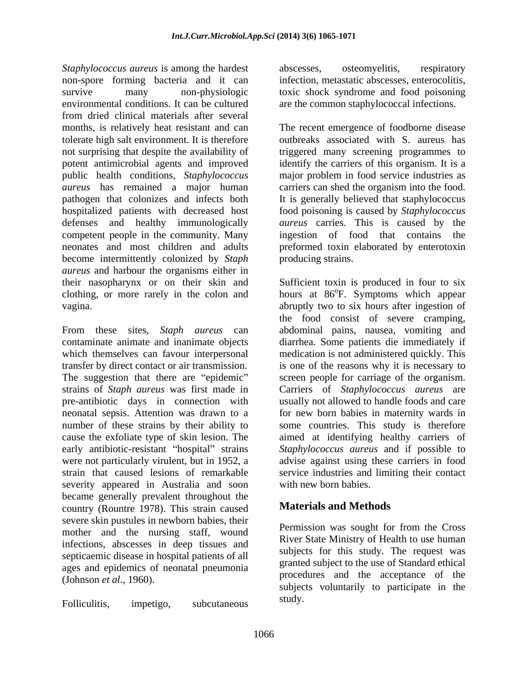*Staphylococcus aureus* is among the hardest abscesses, osteomyelitis, respiratory non-spore forming bacteria and it can infection, metastatic abscesses, enterocolitis, survive many non-physiologic toxic shock syndrome and food poisoning environmental conditions. It can be cultured are the common staphylococcal infections. from dried clinical materials after several months, is relatively heat resistant and can The recent emergence of foodborne disease tolerate high salt environment. It is therefore outbreaks associated with S. aureus has not surprising that despite the availability of triggered many screening programmes to potent antimicrobial agents and improved identify the carriers of this organism. It is a public health conditions, *Staphylococcus*  major problem in food service industries as *aureus* has remained a major human pathogen that colonizes and infects both It is generally believed that staphylococcus hospitalized patients with decreased host food poisoning is caused by *Staphylococcus*  defenses and healthy immunologically *aureus* carries. This is caused by the competent people in the community. Many ingestion of food that contains the neonates and most children and adults preformed toxin elaborated by enterotoxin become intermittently colonized by *Staph aureus* and harbour the organisms either in their nasopharynx or on their skin and Sufficient toxin is produced in four to six clothing, or more rarely in the colon and hours at 86°F. Symptoms which appear

severity appeared in Australia and soon became generally prevalent throughout the country (Rountre 1978). This strain caused severe skin pustules in newborn babies, their mother and the nursing staff, wound infections, abscesses in deep tissues and septicaemic disease in hospital patients of all ages and epidemics of neonatal pneumonia (Johnson *et al.*, 1960). procedures and the acceptance of the

Folliculitis, impetigo, subcutaneous suuv.

abscesses, osteomyelitis, respiratory

carriers can shed the organism into the food. ingestion of food that contains producing strains.

vagina. abruptly two to six hours after ingestion of From these sites, *Staph aureus* can abdominal pains, nausea, vomiting and contaminate animate and inanimate objects diarrhea. Some patients die immediately if which themselves can favour interpersonal medication is not administered quickly. This transfer by direct contact or air transmission. is one of the reasons why it is necessary to The suggestion that there are "epidemic" screen people for carriage of the organism. strains of *Staph aureus* was first made in Carriers of *Staphylococcus aureus* are pre-antibiotic days in connection with usually not allowed to handle foods and care neonatal sepsis. Attention was drawn to a for new born babies in maternity wards in number of these strains by their ability to some countries. This study is therefore cause the exfoliate type of skin lesion. The aimed at identifying healthy carriers of early antibiotic-resistant "hospital" strains Staphylococcus aureus and if possible to were not particularly virulent, but in 1952, a advise against using these carriers in food strain that caused lesions of remarkable service industries and limiting their contact the food consist of severe cramping, with new born babies.

# **Materials and Methods**

Permission was sought for from the Cross River State Ministry of Health to use human subjects for this study. The request was granted subject to the use of Standard ethical procedures and the acceptance of the subjects voluntarily to participate in the study.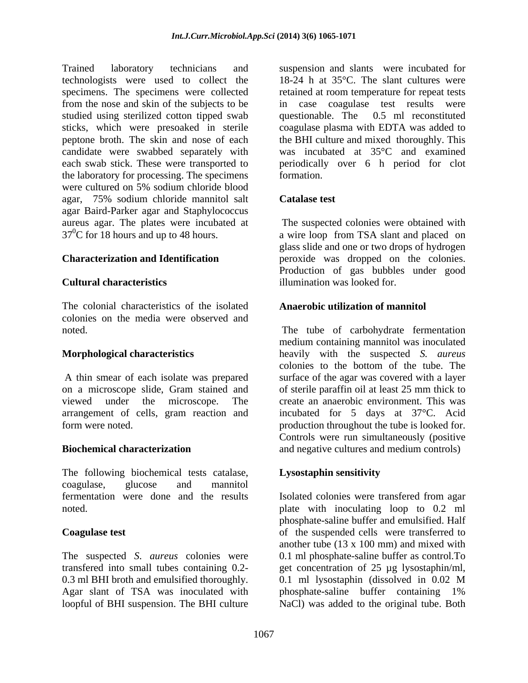Trained laboratory technicians and suspension and slants were incubated for technologists were used to collect the 18-24 h at 35°C. The slant cultures were specimens. The specimens were collected retained at room temperature for repeat tests from the nose and skin of the subjects to be in case coagulase test results were studied using sterilized cotton tipped swab questionable. The 0.5 ml reconstituted sticks, which were presoaked in sterile peptone broth. The skin and nose of each the BHI culture and mixed thoroughly. This candidate were swabbed separately with each swab stick. These were transported to periodically over 6 h period for clot the laboratory for processing. The specimens were cultured on 5% sodium chloride blood agar, 75% sodium chloride mannitol salt agar Baird-Parker agar and Staphylococcus aureus agar. The plates were incubated at  $37^0C$  for 18 hours and up to 48 hours.  $37<sup>0</sup>C$  for 18 hours and up to 48 hours. <br>a wire loop from TSA slant and placed on

The colonial characteristics of the isolated colonies on the media were observed and

on a microscope slide, Gram stained and of sterile paraffin oil at least 25 mm thick to viewed under the microscope. The create an anaerobic environment. This was arrangement of cells, gram reaction and incubated for 5 days at 37°C. Acid form were noted. production throughout the tube is looked for.

The following biochemical tests catalase, **Lysostaphin sensitivity** coagulase, glucose and mannitol fermentation were done and the results Isolated colonies were transfered from agar

The suspected *S*. *aureus* colonies were transfered into small tubes containing 0.2- get concentration of 25 µg lysostaphin/ml, 0.3 ml BHI broth and emulsified thoroughly.  $\qquad 0.1$  ml lysostaphin (dissolved in 0.02 M) Agar slant of TSA was inoculated with phosphate-saline buffer containing 1% loopful of BHI suspension. The BHI culture NaCl) was added to the original tube. Both

questionable. The 0.5 ml reconstituted coagulase plasma with EDTA was added to was incubated at 35°C and examined formation.

### **Catalase test**

**Characterization and Identification** peroxide was dropped on the colonies. **Cultural characteristics** illumination was looked for. The suspected colonies were obtained with glass slide and one or two drops of hydrogen Production of gas bubbles under good

### **Anaerobic utilization of mannitol**

noted. The tube of carbohydrate fermentation **Morphological characteristics** heavily with the suspected *S. aureus* A thin smear of each isolate was prepared surface of the agar was covered with a layer **Biochemical characterization** and negative cultures and medium controls) medium containing mannitol was inoculated colonies to the bottom of the tube. The Controls were run simultaneously (positive

## **Lysostaphin sensitivity**

noted. plate with inoculating loop to 0.2 ml **Coagulase test** of the suspended cells were transferred to Isolated colonies were transfered from agar phosphate-saline buffer and emulsified. Half another tube  $(13 \times 100 \text{ mm})$  and mixed with 0.1 ml phosphate-saline buffer as control.To 0.1 ml lysostaphin (dissolved in 0.02 M phosphate-saline buffer containing 1%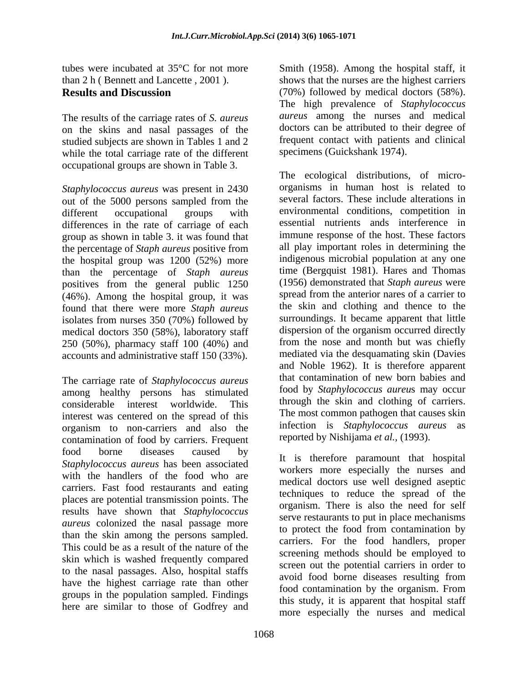The results of the carriage rates of *S. aureus* on the skins and nasal passages of the studied subjects are shown in Tables 1 and 2 while the total carriage rate of the different occupational groups are shown in Table 3.

*Staphylococcus aureus* was present in 2430 out of the 5000 persons sampled from the differences in the rate of carriage of each group as shown in table 3. it was found that the percentage of *Staph aureus* positive from the hospital group was 1200 (52%) more than the percentage of *Staph aureus* positives from the general public 1250 (46%). Among the hospital group, it was found that there were more *Staph aureus* isolates from nurses 350 (70%) followed by medical doctors 350 (58%), laboratory staff 250 (50%), pharmacy staff 100 (40%) and accounts and administrative staff 150 (33%).

The carriage rate of *Staphylococcus aureus* among healthy persons has stimulated considerable interest worldwide. This interest was centered on the spread of this the most common pathogen that causes skin<br>organism to non-cerriers and also the infection is *Staphylococcus aureus* as organism to non-carriers and also the contamination of food by carriers. Frequent food borne diseases caused by  $\mathbf{F}_{\text{t}}$  is therefore nonomount that hespital *Staphylococcus aureus* has been associated with the handlers of the food who are carriers. Fast food restaurants and eating places are potential transmission points. The results have shown that *Staphylococcus aureus* colonized the nasal passage more than the skin among the persons sampled. This could be as a result of the nature of the skin which is washed frequently compared to the nasal passages. Also, hospital staffs have the highest carriage rate than other avoid food bother diseases resulting from groups in the population sampled. Findings here are similar to those of Godfrey and

tubes were incubated at 35°C for not more Smith (1958). Among the hospital staff, it than 2 h ( Bennett and Lancette , 2001 ). shows that the nurses are the highest carriers **Results and Discussion** (70%) followed by medical doctors (58%). The high prevalence of *Staphylococcus aureus* among the nurses and medical doctors can be attributed to their degree of frequent contact with patients and clinical specimens (Guickshank 1974).

different occupational groups with environmental conditions, competition in The ecological distributions, of micro organisms in human host is related to several factors. These include alterations in environmental conditions, competition in essential nutrients ands interference in immune response of the host. These factors all play important roles in determining the indigenous microbial population at any one time (Bergquist 1981). Hares and Thomas (1956) demonstrated that *Staph aureus* were spread from the anterior nares of a carrier to the skin and clothing and thence to the surroundings. It became apparent that little dispersion of the organism occurred directly from the nose and month but was chiefly mediated via the desquamating skin (Davies and Noble 1962). It is therefore apparent that contamination of new born babies and food by *Staphylococcus aureu*s may occur through the skin and clothing of carriers. The most common pathogen that causes skin infection is *Staphylococcus aureus* reported by Nishijama *et al.,* (1993).

> It is therefore paramount that hospital workers more especially the nurses and medical doctors use well designed aseptic techniques to reduce the spread of the organism. There is also the need for self serve restaurants to put in place mechanisms to protect the food from contamination by carriers. For the food handlers, proper screening methods should be employed to screen out the potential carriers in order to avoid food borne diseases resulting from food contamination by the organism. From this study, it is apparent that hospital staff more especially the nurses and medical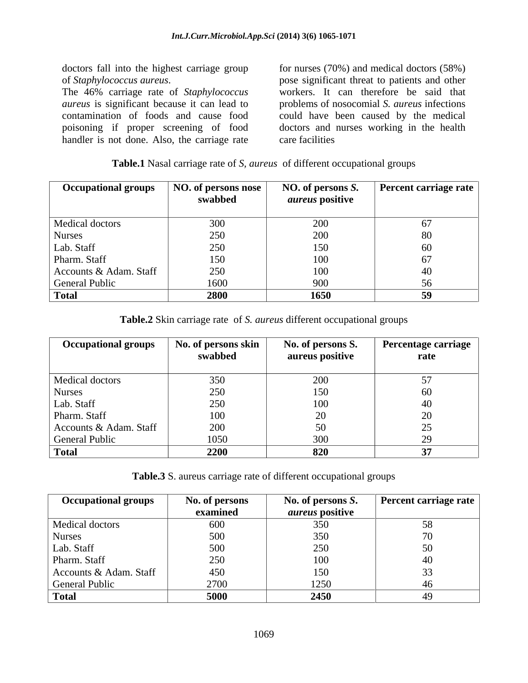doctors fall into the highest carriage group for nurses (70%) and medical doctors (58%)

*aureus* is significant because it can lead to problems of nosocomial *S. aureus* infections contamination of foods and cause food could have been caused by the medical poisoning if proper screening of food doctors and nurses working in the health handler is not done. Also, the carriage rate care facilities

of *Staphylococcus aureus*. The 46% carriage rate of *Staphylococcus*  pose significant threat to patients and other workers. It can therefore be said that care facilities

| <b>Table.1</b> Nasal carriage rate of S,<br>of different occupational groups<br>aureus |  |  |
|----------------------------------------------------------------------------------------|--|--|
|                                                                                        |  |  |

| <b>Occupational groups</b> | NO. of persons nose<br>swabbed | NO. of persons S.<br><i>aureus</i> positive | Percent carriage rate |
|----------------------------|--------------------------------|---------------------------------------------|-----------------------|
| Medical doctors            | 300                            | 200                                         |                       |
| <b>Nurses</b>              | 250                            | 200                                         | 80                    |
| Lab. Staff                 | 250                            | 150                                         | 60                    |
| Pharm. Staff               | 150                            | 100                                         |                       |
| Accounts & Adam. Staff     | 250                            | 100                                         |                       |
| General Public             | 1600                           | 900                                         |                       |
| <b>Total</b>               | 2800                           | 1650                                        | -59                   |

**Table.2** Skin carriage rate of *S. aureus* different occupational groups

| <b>Occupational groups</b> | No. of persons skin | No. of persons S. | <b>Percentage carriage</b> |
|----------------------------|---------------------|-------------------|----------------------------|
|                            | swabbed             | aureus positive   | rate                       |
| Medical doctors            | 350                 | 200               |                            |
| <b>Nurses</b>              | 250                 | 150               |                            |
| Lab. Staff                 | 250                 | 100               |                            |
| Pharm. Staff               | 100                 |                   | ∠∪                         |
| Accounts & Adam. Staff     | 200                 |                   |                            |
| <b>General Public</b>      | 1050                | 300               |                            |
| <b>Total</b>               | 2200                | 820               |                            |

**Table.3** S. aureus carriage rate of different occupational groups

| <b>Occupational groups</b> | No. of persons | No. of persons S.      | <b>Percent carriage rate</b> |
|----------------------------|----------------|------------------------|------------------------------|
|                            | examined       | <i>aureus</i> positive |                              |
| Medical doctors            | 600            | 3ร∩<br>JJV             |                              |
| <b>Nurses</b>              | 500            | 350<br><u>JJU</u>      |                              |
| Lab. Staff                 | 500            | 250                    |                              |
| Pharm. Staff               | 250            | 100                    |                              |
| Accounts & Adam. Staff     | 450            | 150                    |                              |
| General Public             | 2700           | 1250                   | 4V                           |
| <b>Total</b>               | 5000           | 2450                   |                              |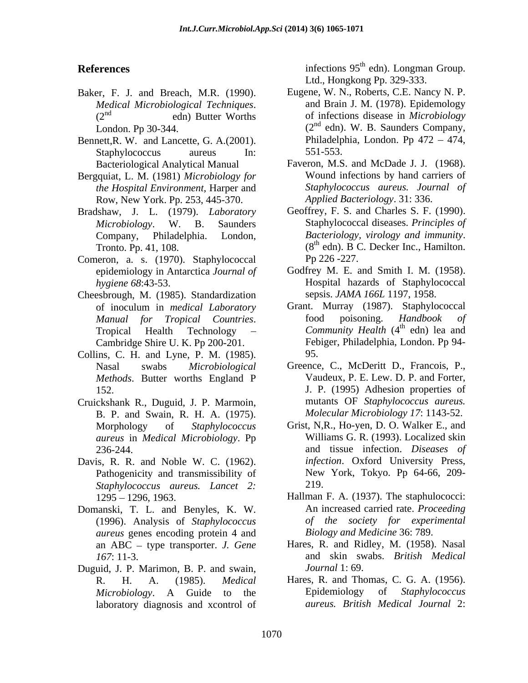- Baker, F. J. and Breach, M.R. (1990).
- Bennett,R. W. and Lancette, G. A.(2001). Philadelp<br>Staphylococcus aureus In: 551-553. Staphylococcus aureus In: 551-553.
- Bergquiat, L. M. (1981) *Microbiology for the Hospital Environment*, Harper and Row, New York. Pp. 253, 445-370.
- Bradshaw, J. L. (1979). *Laboratory*
- Comeron, a. s. (1970). Staphylococcal Pp 226 -227.
- Cheesbrough, M. (1985). Standardization of inoculum in *medical Laboratory* Grant. Murray (1987). Staphyloc Manual for Tropical Countries. 600 poisoning. Handbook Cambridge Shire U. K. Pp 200-201.
- Collins, C. H. and Lyne, P. M. (1985).
- Cruickshank R., Duguid, J. P. Marmoin, B. P. and Swain, R. H. A. (1975). *aureus* in *Medical Microbiology*. Pp
- Davis, R. R. and Noble W. C. (1962). Pathogenicity and transmissibility of *Staphylococcus aureus. Lancet 2:*
- Domanski, T. L. and Benyles, K. W. (1996). Analysis of *Staphylococcus aureus* genes encoding protein 4 and an ABC – type transporter. *J. Gene*
- Duguid, J. P. Marimon, B. P. and swain, *Journal* 1:69. laboratory diagnosis and xcontrol of

**References** infections 95<sup>th</sup> edn). Longman Group. edn). Longman Group. Ltd., Hongkong Pp. 329-333.

- *Medical Microbiological Techniques*. and Brain J. M. (1978). Epidemology edn) Butter Worths of infections disease in *Microbiology* edn) Butter Worths of infections disease in *Microbiology* London. Pp 30-344.  $(2^{nd}$  edn). W. B. Saunders Company, Eugene, W. N., Roberts, C.E. Nancy N. P. and Brain J. M. (1978). Epidemology Philadelphia, London. Pp  $472 - 474$ , 551-553.
- Bacteriological Analytical Manual Faveron, M.S. and McDade J. J. (1968). Wound infections by hand carriers of *Staphylococcus aureus. Journal of Applied Bacteriology*. 31: 336.
- *Microbiology*. W. B. Saunders Staphylococcal diseases. *Principles of* Company, Philadelphia. London, Bacteriology, virology and immunity. Tronto. Pp. 41, 108. (8<sup>th</sup> edn). B C. Decker Inc., Hamilton. Geoffrey, F. S. and Charles S. F. (1990). *Bacteriology, virology and immunity.*<br>(8<sup>th</sup> edn). B C. Decker Inc., Hamilton. Pp 226 -227.
- epidemiology in Antarctica *Journal of* Godfrey M. E. and Smith I. M. (1958). *hygiene 68*:43-53. Hospital hazards of Staphylococcal sepsis. *JAMA 166L* 1197, 1958.
- *Manual for Tropical Countries.* food poisoning. *Handbook of*<br>Tropical Health Technology *Community Health* (4<sup>th</sup> edn) lea-and Grant. Murray (1987). Staphylococcal food poisoning. *Handbook of Community Health* (4  $^{th}$  adm  $^{th}$  and edn) lea and Febiger, Philadelphia, London. Pp 94- 95.
- Nasal swabs *Microbiological Methods*. Butter worths England P Vaudeux, P. E. Lew. D. P. and Forter, 152. J. P. (1995) Adhesion properties of Greence, C., McDeritt D., Francois, P., Vaudeux, P. E. Lew. D. P. and Forter, mutants OF *Staphylococcus aureus. Molecular Microbiology 17*: 1143-52.
- Morphology of *Staphylococcus*  Grist, N,R., Ho-yen, D. O. Walker E., and 236-244. and tissue infection. *Diseases of* Williams G. R. (1993). Localized skin *infection*. Oxford University Press, New York, Tokyo. Pp 64-66, 209- 219.
- 1295 1296, 1963. Hallman F. A. (1937). The staphulococci: An increased carried rate. *Proceeding of the society for experimental Biology and Medicine* 36: 789.
- *167*: 11-3. and skin swabs. *British Medical* Hares, R. and Ridley, M. (1958). Nasal *Journal* 1: 69.
- R. H. A. (1985). *Medical*  Hares, R. and Thomas, C. G. A. (1956). *Microbiology*. A Guide to the Epidemiology of *Staphylococcus aureus. British Medical Journal* 2: